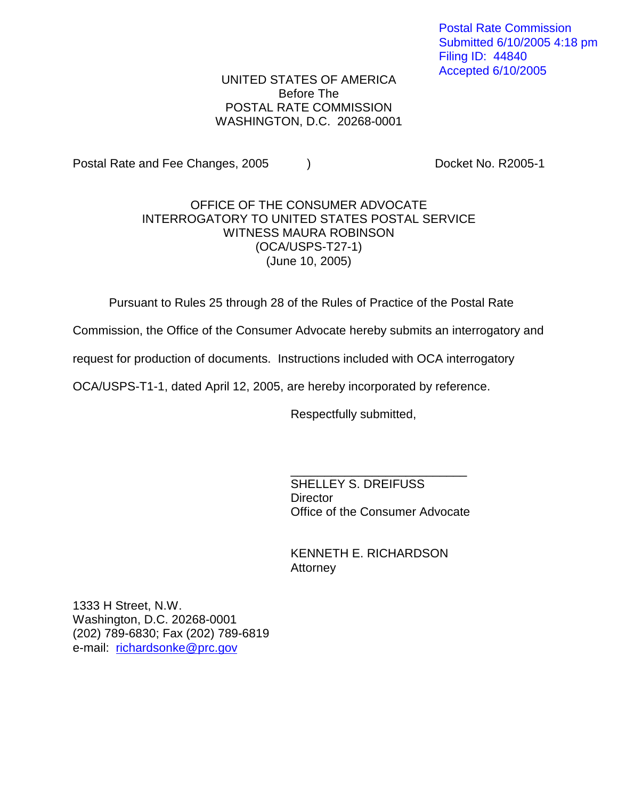Postal Rate Commission Submitted 6/10/2005 4:18 pm Filing ID: 44840 Accepted 6/10/2005

UNITED STATES OF AMERICA Before The POSTAL RATE COMMISSION WASHINGTON, D.C. 20268-0001

Postal Rate and Fee Changes, 2005 (a) The Cooket No. R2005-1

## OFFICE OF THE CONSUMER ADVOCATE INTERROGATORY TO UNITED STATES POSTAL SERVICE WITNESS MAURA ROBINSON (OCA/USPS-T27-1) (June 10, 2005)

Pursuant to Rules 25 through 28 of the Rules of Practice of the Postal Rate

Commission, the Office of the Consumer Advocate hereby submits an interrogatory and

request for production of documents. Instructions included with OCA interrogatory

OCA/USPS-T1-1, dated April 12, 2005, are hereby incorporated by reference.

Respectfully submitted,

SHELLEY S. DREIFUSS **Director** Office of the Consumer Advocate

\_\_\_\_\_\_\_\_\_\_\_\_\_\_\_\_\_\_\_\_\_\_\_\_\_\_

KENNETH E. RICHARDSON Attorney

1333 H Street, N.W. Washington, D.C. 20268-0001 (202) 789-6830; Fax (202) 789-6819 e-mail: richardsonke@prc.gov